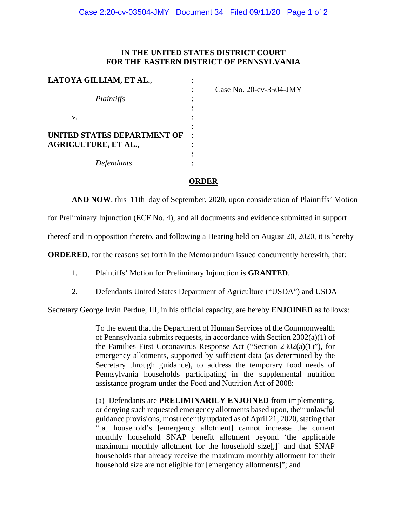## **IN THE UNITED STATES DISTRICT COURT FOR THE EASTERN DISTRICT OF PENNSYLVANIA**

| Case No. 20-cv-3504-JMY |
|-------------------------|
|                         |
|                         |
|                         |
|                         |
|                         |
|                         |
|                         |
|                         |
|                         |

## **ORDER**

**AND NOW**, this 11th day of September, 2020, upon consideration of Plaintiffs' Motion

for Preliminary Injunction (ECF No. 4), and all documents and evidence submitted in support

thereof and in opposition thereto, and following a Hearing held on August 20, 2020, it is hereby

**ORDERED**, for the reasons set forth in the Memorandum issued concurrently herewith, that:

- 1. Plaintiffs' Motion for Preliminary Injunction is **GRANTED**.
- 2. Defendants United States Department of Agriculture ("USDA") and USDA

Secretary George Irvin Perdue, III, in his official capacity, are hereby **ENJOINED** as follows:

To the extent that the Department of Human Services of the Commonwealth of Pennsylvania submits requests, in accordance with Section 2302(a)(1) of the Families First Coronavirus Response Act ("Section 2302(a)(1)"), for emergency allotments, supported by sufficient data (as determined by the Secretary through guidance), to address the temporary food needs of Pennsylvania households participating in the supplemental nutrition assistance program under the Food and Nutrition Act of 2008:

(a) Defendants are **PRELIMINARILY ENJOINED** from implementing, or denying such requested emergency allotments based upon, their unlawful guidance provisions, most recently updated as of April 21, 2020, stating that "[a] household's [emergency allotment] cannot increase the current monthly household SNAP benefit allotment beyond 'the applicable maximum monthly allotment for the household size[,]' and that SNAP households that already receive the maximum monthly allotment for their household size are not eligible for [emergency allotments]"; and